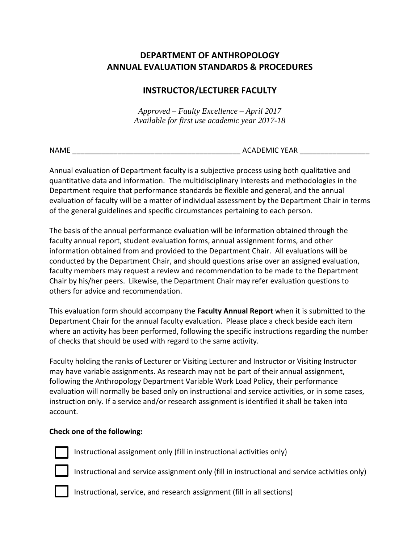# **DEPARTMENT OF ANTHROPOLOGY ANNUAL EVALUATION STANDARDS & PROCEDURES**

## **INSTRUCTOR/LECTURER FACULTY**

*Approved – Faulty Excellence – April 2017 Available for first use academic year 2017-18*

NAME \_\_\_\_\_\_\_\_\_\_\_\_\_\_\_\_\_\_\_\_\_\_\_\_\_\_\_\_\_\_\_\_\_\_\_\_\_\_\_\_\_ ACADEMIC YEAR \_\_\_\_\_\_\_\_\_\_\_\_\_\_\_\_\_

Annual evaluation of Department faculty is a subjective process using both qualitative and quantitative data and information. The multidisciplinary interests and methodologies in the Department require that performance standards be flexible and general, and the annual evaluation of faculty will be a matter of individual assessment by the Department Chair in terms of the general guidelines and specific circumstances pertaining to each person.

The basis of the annual performance evaluation will be information obtained through the faculty annual report, student evaluation forms, annual assignment forms, and other information obtained from and provided to the Department Chair. All evaluations will be conducted by the Department Chair, and should questions arise over an assigned evaluation, faculty members may request a review and recommendation to be made to the Department Chair by his/her peers. Likewise, the Department Chair may refer evaluation questions to others for advice and recommendation.

This evaluation form should accompany the **Faculty Annual Report** when it is submitted to the Department Chair for the annual faculty evaluation. Please place a check beside each item where an activity has been performed, following the specific instructions regarding the number of checks that should be used with regard to the same activity.

Faculty holding the ranks of Lecturer or Visiting Lecturer and Instructor or Visiting Instructor may have variable assignments. As research may not be part of their annual assignment, following the Anthropology Department Variable Work Load Policy, their performance evaluation will normally be based only on instructional and service activities, or in some cases, instruction only. If a service and/or research assignment is identified it shall be taken into account.

## **Check one of the following:**



Instructional assignment only (fill in instructional activities only)

Instructional and service assignment only (fill in instructional and service activities only)



Instructional, service, and research assignment (fill in all sections)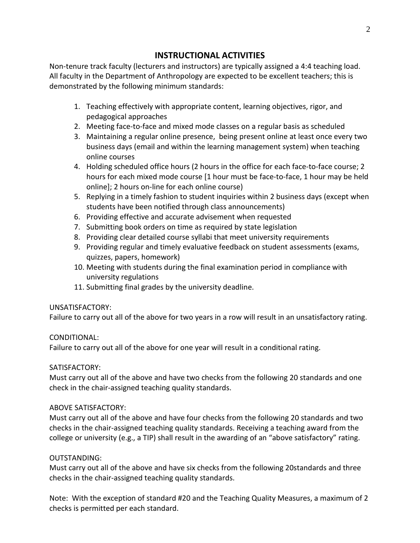## **INSTRUCTIONAL ACTIVITIES**

Non-tenure track faculty (lecturers and instructors) are typically assigned a 4:4 teaching load. All faculty in the Department of Anthropology are expected to be excellent teachers; this is demonstrated by the following minimum standards:

- 1. Teaching effectively with appropriate content, learning objectives, rigor, and pedagogical approaches
- 2. Meeting face-to-face and mixed mode classes on a regular basis as scheduled
- 3. Maintaining a regular online presence, being present online at least once every two business days (email and within the learning management system) when teaching online courses
- 4. Holding scheduled office hours (2 hours in the office for each face-to-face course; 2 hours for each mixed mode course [1 hour must be face-to-face, 1 hour may be held online]; 2 hours on-line for each online course)
- 5. Replying in a timely fashion to student inquiries within 2 business days (except when students have been notified through class announcements)
- 6. Providing effective and accurate advisement when requested
- 7. Submitting book orders on time as required by state legislation
- 8. Providing clear detailed course syllabi that meet university requirements
- 9. Providing regular and timely evaluative feedback on student assessments (exams, quizzes, papers, homework)
- 10. Meeting with students during the final examination period in compliance with university regulations
- 11. Submitting final grades by the university deadline.

## UNSATISFACTORY:

Failure to carry out all of the above for two years in a row will result in an unsatisfactory rating.

## CONDITIONAL:

Failure to carry out all of the above for one year will result in a conditional rating.

#### SATISFACTORY:

Must carry out all of the above and have two checks from the following 20 standards and one check in the chair-assigned teaching quality standards.

## ABOVE SATISFACTORY:

Must carry out all of the above and have four checks from the following 20 standards and two checks in the chair-assigned teaching quality standards. Receiving a teaching award from the college or university (e.g., a TIP) shall result in the awarding of an "above satisfactory" rating.

## OUTSTANDING:

Must carry out all of the above and have six checks from the following 20standards and three checks in the chair-assigned teaching quality standards.

Note: With the exception of standard #20 and the Teaching Quality Measures, a maximum of 2 checks is permitted per each standard.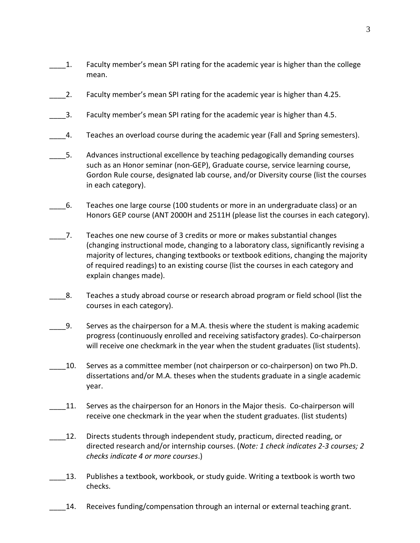- \_\_\_\_1. Faculty member's mean SPI rating for the academic year is higher than the college mean.
- 2. Faculty member's mean SPI rating for the academic year is higher than 4.25.
- 3. Faculty member's mean SPI rating for the academic year is higher than 4.5.
- \_\_\_\_4. Teaches an overload course during the academic year (Fall and Spring semesters).
- 5. Advances instructional excellence by teaching pedagogically demanding courses such as an Honor seminar (non-GEP), Graduate course, service learning course, Gordon Rule course, designated lab course, and/or Diversity course (list the courses in each category).
- \_\_\_\_6. Teaches one large course (100 students or more in an undergraduate class) or an Honors GEP course (ANT 2000H and 2511H (please list the courses in each category).
- \_\_\_\_7. Teaches one new course of 3 credits or more or makes substantial changes (changing instructional mode, changing to a laboratory class, significantly revising a majority of lectures, changing textbooks or textbook editions, changing the majority of required readings) to an existing course (list the courses in each category and explain changes made).
- \_\_\_\_8. Teaches a study abroad course or research abroad program or field school (list the courses in each category).
- \_\_\_\_9. Serves as the chairperson for a M.A. thesis where the student is making academic progress (continuously enrolled and receiving satisfactory grades). Co-chairperson will receive one checkmark in the year when the student graduates (list students).
- 10. Serves as a committee member (not chairperson or co-chairperson) on two Ph.D. dissertations and/or M.A. theses when the students graduate in a single academic year.
- 11. Serves as the chairperson for an Honors in the Major thesis. Co-chairperson will receive one checkmark in the year when the student graduates. (list students)
- \_\_\_\_12. Directs students through independent study, practicum, directed reading, or directed research and/or internship courses. (*Note: 1 check indicates 2-3 courses; 2 checks indicate 4 or more courses*.)
- \_\_\_\_13. Publishes a textbook, workbook, or study guide. Writing a textbook is worth two checks.
	- \_\_\_\_14. Receives funding/compensation through an internal or external teaching grant.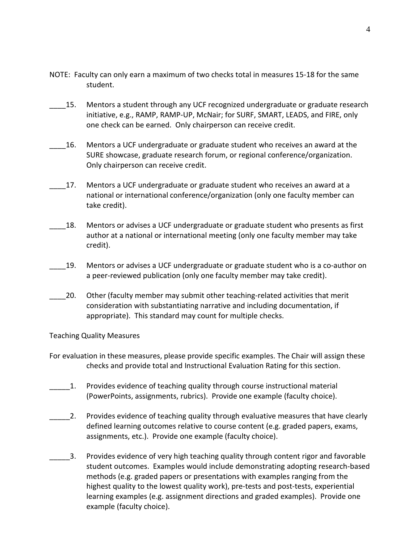- NOTE: Faculty can only earn a maximum of two checks total in measures 15-18 for the same student.
- 15. Mentors a student through any UCF recognized undergraduate or graduate research initiative, e.g., RAMP, RAMP-UP, McNair; for SURF, SMART, LEADS, and FIRE, only one check can be earned. Only chairperson can receive credit.
- \_\_\_\_16. Mentors a UCF undergraduate or graduate student who receives an award at the SURE showcase, graduate research forum, or regional conference/organization. Only chairperson can receive credit.
- 17. Mentors a UCF undergraduate or graduate student who receives an award at a national or international conference/organization (only one faculty member can take credit).
- 18. Mentors or advises a UCF undergraduate or graduate student who presents as first author at a national or international meeting (only one faculty member may take credit).
- \_\_\_\_19. Mentors or advises a UCF undergraduate or graduate student who is a co-author on a peer-reviewed publication (only one faculty member may take credit).
- 20. Other (faculty member may submit other teaching-related activities that merit consideration with substantiating narrative and including documentation, if appropriate). This standard may count for multiple checks.

Teaching Quality Measures

- For evaluation in these measures, please provide specific examples. The Chair will assign these checks and provide total and Instructional Evaluation Rating for this section.
- \_\_\_\_\_1. Provides evidence of teaching quality through course instructional material (PowerPoints, assignments, rubrics). Provide one example (faculty choice).
- \_\_\_\_\_2. Provides evidence of teaching quality through evaluative measures that have clearly defined learning outcomes relative to course content (e.g. graded papers, exams, assignments, etc.). Provide one example (faculty choice).
- \_\_\_\_\_3. Provides evidence of very high teaching quality through content rigor and favorable student outcomes. Examples would include demonstrating adopting research-based methods (e.g. graded papers or presentations with examples ranging from the highest quality to the lowest quality work), pre-tests and post-tests, experiential learning examples (e.g. assignment directions and graded examples). Provide one example (faculty choice).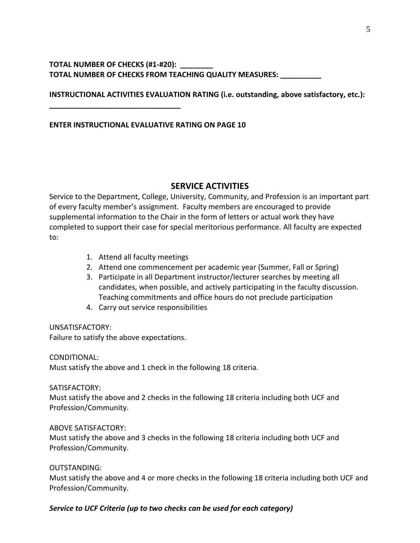### **TOTAL NUMBER OF CHECKS (#1-#20): \_\_\_\_\_\_\_\_ TOTAL NUMBER OF CHECKS FROM TEACHING QUALITY MEASURES: \_\_\_\_\_\_\_\_\_\_**

**INSTRUCTIONAL ACTIVITIES EVALUATION RATING (i.e. outstanding, above satisfactory, etc.):**

#### **ENTER INSTRUCTIONAL EVALUATIVE RATING ON PAGE 10**

**\_\_\_\_\_\_\_\_\_\_\_\_\_\_\_\_\_\_\_\_\_\_\_\_\_\_\_\_\_\_\_\_**

## **SERVICE ACTIVITIES**

Service to the Department, College, University, Community, and Profession is an important part of every faculty member's assignment. Faculty members are encouraged to provide supplemental information to the Chair in the form of letters or actual work they have completed to support their case for special meritorious performance. All faculty are expected to:

- 1. Attend all faculty meetings
- 2. Attend one commencement per academic year (Summer, Fall or Spring)
- 3. Participate in all Department instructor/lecturer searches by meeting all candidates, when possible, and actively participating in the faculty discussion. Teaching commitments and office hours do not preclude participation
- 4. Carry out service responsibilities

UNSATISFACTORY: Failure to satisfy the above expectations.

CONDITIONAL: Must satisfy the above and 1 check in the following 18 criteria.

SATISFACTORY:

Must satisfy the above and 2 checks in the following 18 criteria including both UCF and Profession/Community.

#### ABOVE SATISFACTORY:

Must satisfy the above and 3 checks in the following 18 criteria including both UCF and Profession/Community.

#### OUTSTANDING:

Must satisfy the above and 4 or more checks in the following 18 criteria including both UCF and Profession/Community.

#### *Service to UCF Criteria (up to two checks can be used for each category)*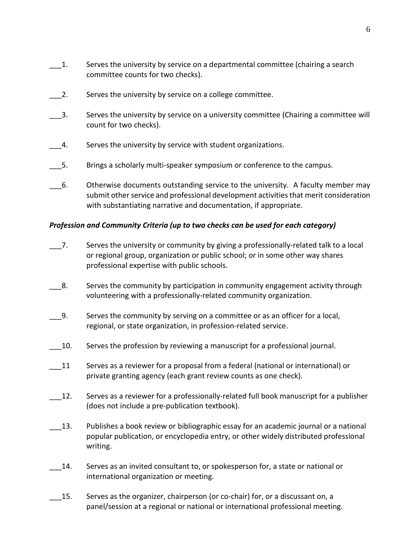- \_\_\_1. Serves the university by service on a departmental committee (chairing a search committee counts for two checks).
- 2. Serves the university by service on a college committee.
- \_\_\_3. Serves the university by service on a university committee (Chairing a committee will count for two checks).
- 4. Serves the university by service with student organizations.
- \_\_\_5. Brings a scholarly multi-speaker symposium or conference to the campus.
- \_\_\_6. Otherwise documents outstanding service to the university. A faculty member may submit other service and professional development activities that merit consideration with substantiating narrative and documentation, if appropriate.

#### *Profession and Community Criteria (up to two checks can be used for each category)*

- 7. Serves the university or community by giving a professionally-related talk to a local or regional group, organization or public school; or in some other way shares professional expertise with public schools.
- \_\_\_8. Serves the community by participation in community engagement activity through volunteering with a professionally-related community organization.
- \_\_\_9. Serves the community by serving on a committee or as an officer for a local, regional, or state organization, in profession-related service.
- \_\_\_10. Serves the profession by reviewing a manuscript for a professional journal.
- \_\_\_11 Serves as a reviewer for a proposal from a federal (national or international) or private granting agency (each grant review counts as one check).
- 12. Serves as a reviewer for a professionally-related full book manuscript for a publisher (does not include a pre-publication textbook).
- 13. Publishes a book review or bibliographic essay for an academic journal or a national popular publication, or encyclopedia entry, or other widely distributed professional writing.
- \_\_\_14. Serves as an invited consultant to, or spokesperson for, a state or national or international organization or meeting.
- 15. Serves as the organizer, chairperson (or co-chair) for, or a discussant on, a panel/session at a regional or national or international professional meeting.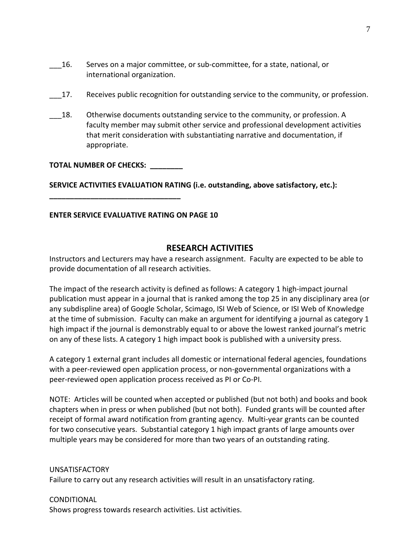- \_\_\_16. Serves on a major committee, or sub-committee, for a state, national, or international organization.
- \_\_\_17. Receives public recognition for outstanding service to the community, or profession.
- 18. Otherwise documents outstanding service to the community, or profession. A faculty member may submit other service and professional development activities that merit consideration with substantiating narrative and documentation, if appropriate.

#### **TOTAL NUMBER OF CHECKS: \_\_\_\_\_\_\_\_**

**\_\_\_\_\_\_\_\_\_\_\_\_\_\_\_\_\_\_\_\_\_\_\_\_\_\_\_\_\_\_\_\_**

**SERVICE ACTIVITIES EVALUATION RATING (i.e. outstanding, above satisfactory, etc.):** 

### **ENTER SERVICE EVALUATIVE RATING ON PAGE 10**

## **RESEARCH ACTIVITIES**

Instructors and Lecturers may have a research assignment. Faculty are expected to be able to provide documentation of all research activities.

The impact of the research activity is defined as follows: A category 1 high-impact journal publication must appear in a journal that is ranked among the top 25 in any disciplinary area (or any subdispline area) of Google Scholar, Scimago, ISI Web of Science, or ISI Web of Knowledge at the time of submission. Faculty can make an argument for identifying a journal as category 1 high impact if the journal is demonstrably equal to or above the lowest ranked journal's metric on any of these lists. A category 1 high impact book is published with a university press.

A category 1 external grant includes all domestic or international federal agencies, foundations with a peer-reviewed open application process, or non-governmental organizations with a peer-reviewed open application process received as PI or Co-PI.

NOTE: Articles will be counted when accepted or published (but not both) and books and book chapters when in press or when published (but not both). Funded grants will be counted after receipt of formal award notification from granting agency. Multi-year grants can be counted for two consecutive years. Substantial category 1 high impact grants of large amounts over multiple years may be considered for more than two years of an outstanding rating.

#### UNSATISFACTORY

Failure to carry out any research activities will result in an unsatisfactory rating.

#### **CONDITIONAL**

Shows progress towards research activities. List activities.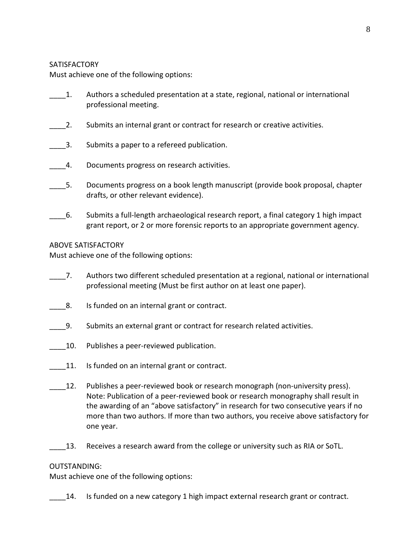#### **SATISFACTORY**

Must achieve one of the following options:

- \_\_\_\_1. Authors a scheduled presentation at a state, regional, national or international professional meeting.
- 2. Submits an internal grant or contract for research or creative activities.
- 3. Submits a paper to a refereed publication.
- 4. Documents progress on research activities.
- 5. Documents progress on a book length manuscript (provide book proposal, chapter drafts, or other relevant evidence).
- \_\_\_\_6. Submits a full-length archaeological research report, a final category 1 high impact grant report, or 2 or more forensic reports to an appropriate government agency.

#### ABOVE SATISFACTORY

Must achieve one of the following options:

- \_\_\_\_7. Authors two different scheduled presentation at a regional, national or international professional meeting (Must be first author on at least one paper).
- 8. Is funded on an internal grant or contract.
- \_\_\_\_9. Submits an external grant or contract for research related activities.
- 10. Publishes a peer-reviewed publication.
- 11. Is funded on an internal grant or contract.
- \_\_\_\_12. Publishes a peer-reviewed book or research monograph (non-university press). Note: Publication of a peer-reviewed book or research monography shall result in the awarding of an "above satisfactory" in research for two consecutive years if no more than two authors. If more than two authors, you receive above satisfactory for one year.
- 13. Receives a research award from the college or university such as RIA or SoTL.

#### OUTSTANDING:

Must achieve one of the following options:

14. Is funded on a new category 1 high impact external research grant or contract.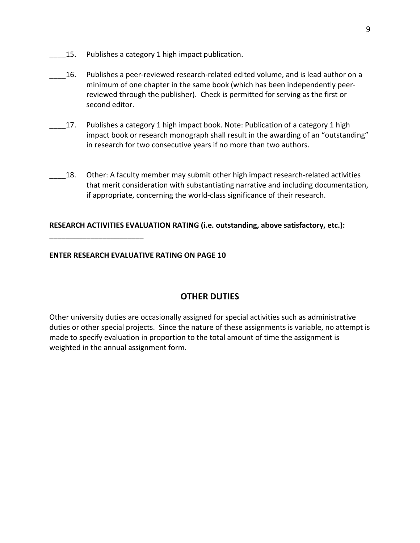- 15. Publishes a category 1 high impact publication.
- \_\_\_\_16. Publishes a peer-reviewed research-related edited volume, and is lead author on a minimum of one chapter in the same book (which has been independently peerreviewed through the publisher). Check is permitted for serving as the first or second editor.
- 17. Publishes a category 1 high impact book. Note: Publication of a category 1 high impact book or research monograph shall result in the awarding of an "outstanding" in research for two consecutive years if no more than two authors.
- \_\_\_\_18. Other: A faculty member may submit other high impact research-related activities that merit consideration with substantiating narrative and including documentation, if appropriate, concerning the world-class significance of their research.

### **RESEARCH ACTIVITIES EVALUATION RATING (i.e. outstanding, above satisfactory, etc.):**

**ENTER RESEARCH EVALUATIVE RATING ON PAGE 10**

**\_\_\_\_\_\_\_\_\_\_\_\_\_\_\_\_\_\_\_\_\_\_\_**

# **OTHER DUTIES**

Other university duties are occasionally assigned for special activities such as administrative duties or other special projects. Since the nature of these assignments is variable, no attempt is made to specify evaluation in proportion to the total amount of time the assignment is weighted in the annual assignment form.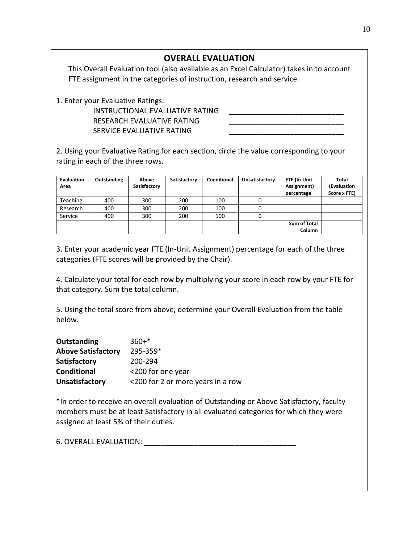## **OVERALL EVALUATION**

This Overall Evaluation tool (also available as an Excel Calculator) takes in to account FTE assignment in the categories of instruction, research and service.

1. Enter your Evaluative Ratings:

## INSTRUCTIONAL EVALUATIVE RATING RESEARCH EVALUATIVE RATING SERVICE EVALUATIVE RATING

2. Using your Evaluative Rating for each section, circle the value corresponding to your rating in each of the three rows.

| <b>Evaluation</b><br>Area | Outstanding | Above<br>Satisfactory | Satisfactory | Conditional | Unsatisfactory | FTE (In-Unit<br>Assignment)<br>percentage | <b>Total</b><br>(Evaluation<br>Score x FTE) |
|---------------------------|-------------|-----------------------|--------------|-------------|----------------|-------------------------------------------|---------------------------------------------|
| <b>Teaching</b>           | 400         | 300                   | 200          | 100         |                |                                           |                                             |
| Research                  | 400         | 300                   | 200          | 100         |                |                                           |                                             |
| Service                   | 400         | 300                   | 200          | 100         |                |                                           |                                             |
|                           |             |                       |              |             |                | <b>Sum of Total</b><br>Column             |                                             |

3. Enter your academic year FTE (In-Unit Assignment) percentage for each of the three categories (FTE scores will be provided by the Chair).

4. Calculate your total for each row by multiplying your score in each row by your FTE for that category. Sum the total column.

5. Using the total score from above, determine your Overall Evaluation from the table below.

| Outstanding               | $360+*$                           |
|---------------------------|-----------------------------------|
| <b>Above Satisfactory</b> | 295-359*                          |
| Satisfactory              | 200-294                           |
| <b>Conditional</b>        | <200 for one year                 |
| Unsatisfactory            | <200 for 2 or more years in a row |

\*In order to receive an overall evaluation of Outstanding or Above Satisfactory, faculty members must be at least Satisfactory in all evaluated categories for which they were assigned at least 5% of their duties.

6. OVERALL EVALUATION: **We are also asset to the set of the set of the set of the set of the set of the set of the set of the set of the set of the set of the set of the set of the set of the set of the set of the set of t**